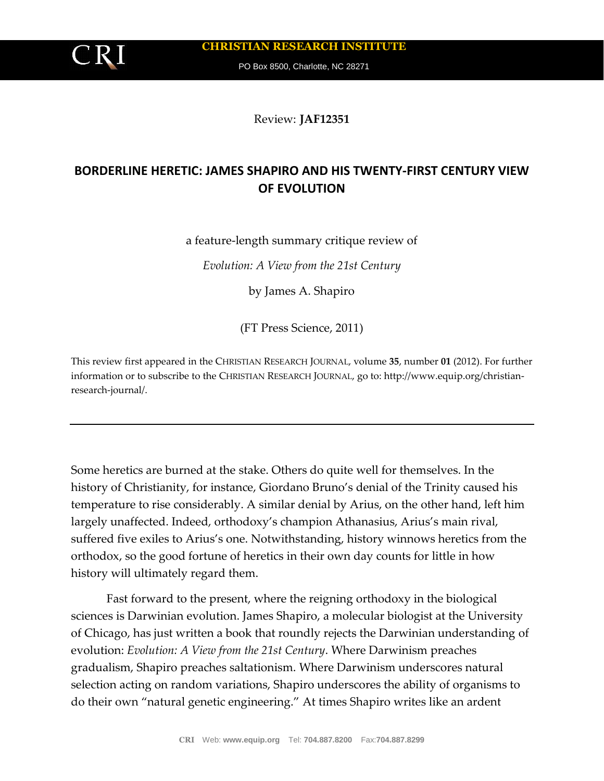

**CHRISTIAN RESEARCH INSTITUTE**

PO Box 8500, Charlotte, NC 28271

Review: **JAF12351**

## **BORDERLINE HERETIC: JAMES SHAPIRO AND HIS TWENTY-FIRST CENTURY VIEW OF EVOLUTION**

a feature-length summary critique review of

*Evolution: A View from the 21st Century*

by James A. Shapiro

(FT Press Science, 2011)

This review first appeared in the CHRISTIAN RESEARCH JOURNAL, volume **35**, number **01** (2012). For further information or to subscribe to the CHRISTIAN RESEARCH JOURNAL, go to: http://www.equip.org/christianresearch-journal/.

Some heretics are burned at the stake. Others do quite well for themselves. In the history of Christianity, for instance, Giordano Bruno's denial of the Trinity caused his temperature to rise considerably. A similar denial by Arius, on the other hand, left him largely unaffected. Indeed, orthodoxy's champion Athanasius, Arius's main rival, suffered five exiles to Arius's one. Notwithstanding, history winnows heretics from the orthodox, so the good fortune of heretics in their own day counts for little in how history will ultimately regard them.

Fast forward to the present, where the reigning orthodoxy in the biological sciences is Darwinian evolution. James Shapiro, a molecular biologist at the University of Chicago, has just written a book that roundly rejects the Darwinian understanding of evolution: *Evolution: A View from the 21st Century*. Where Darwinism preaches gradualism, Shapiro preaches saltationism. Where Darwinism underscores natural selection acting on random variations, Shapiro underscores the ability of organisms to do their own "natural genetic engineering." At times Shapiro writes like an ardent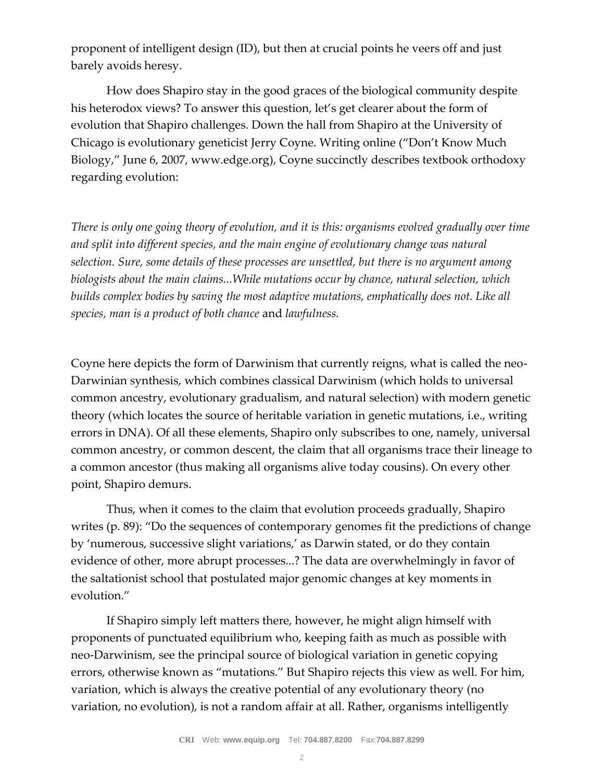proponent of intelligent design (ID), but then at crucial points he veers off and just barely avoids heresy.

How does Shapiro stay in the good graces of the biological community despite his heterodox views? To answer this question, let's get clearer about the form of evolution that Shapiro challenges. Down the hall from Shapiro at the University of Chicago is evolutionary geneticist Jerry Coyne. Writing online ("Don't Know Much Biology," June 6, 2007, www.edge.org), Coyne succinctly describes textbook orthodoxy regarding evolution:

*There is only one going theory of evolution, and it is this: organisms evolved gradually over time and split into different species, and the main engine of evolutionary change was natural selection. Sure, some details of these processes are unsettled, but there is no argument among biologists about the main claims...While mutations occur by chance, natural selection, which builds complex bodies by saving the most adaptive mutations, emphatically does not. Like all species, man is a product of both chance* and *lawfulness.*

Coyne here depicts the form of Darwinism that currently reigns, what is called the neo-Darwinian synthesis, which combines classical Darwinism (which holds to universal common ancestry, evolutionary gradualism, and natural selection) with modern genetic theory (which locates the source of heritable variation in genetic mutations, i.e., writing errors in DNA). Of all these elements, Shapiro only subscribes to one, namely, universal common ancestry, or common descent, the claim that all organisms trace their lineage to a common ancestor (thus making all organisms alive today cousins). On every other point, Shapiro demurs.

Thus, when it comes to the claim that evolution proceeds gradually, Shapiro writes (p. 89): "Do the sequences of contemporary genomes fit the predictions of change by 'numerous, successive slight variations,' as Darwin stated, or do they contain evidence of other, more abrupt processes...? The data are overwhelmingly in favor of the saltationist school that postulated major genomic changes at key moments in evolution."

If Shapiro simply left matters there, however, he might align himself with proponents of punctuated equilibrium who, keeping faith as much as possible with neo-Darwinism, see the principal source of biological variation in genetic copying errors, otherwise known as "mutations." But Shapiro rejects this view as well. For him, variation, which is always the creative potential of any evolutionary theory (no variation, no evolution), is not a random affair at all. Rather, organisms intelligently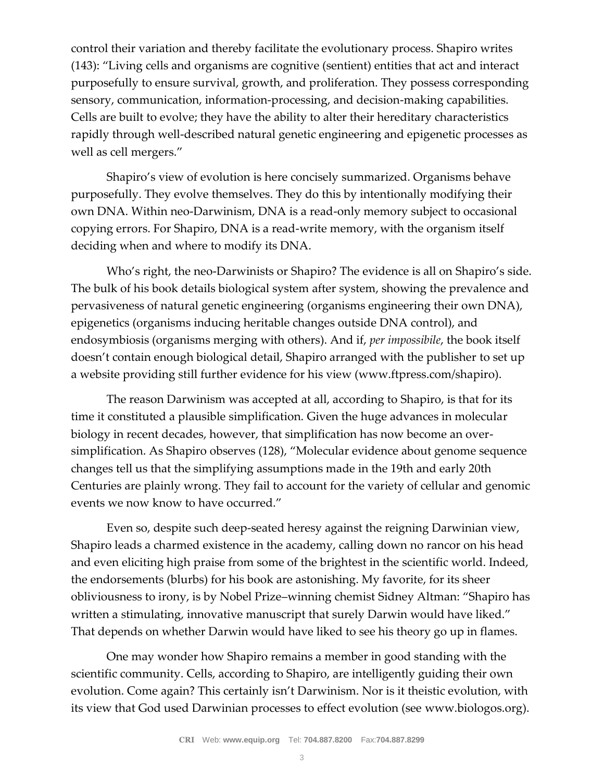control their variation and thereby facilitate the evolutionary process. Shapiro writes (143): "Living cells and organisms are cognitive (sentient) entities that act and interact purposefully to ensure survival, growth, and proliferation. They possess corresponding sensory, communication, information-processing, and decision-making capabilities. Cells are built to evolve; they have the ability to alter their hereditary characteristics rapidly through well-described natural genetic engineering and epigenetic processes as well as cell mergers."

Shapiro's view of evolution is here concisely summarized. Organisms behave purposefully. They evolve themselves. They do this by intentionally modifying their own DNA. Within neo-Darwinism, DNA is a read-only memory subject to occasional copying errors. For Shapiro, DNA is a read-write memory, with the organism itself deciding when and where to modify its DNA.

Who's right, the neo-Darwinists or Shapiro? The evidence is all on Shapiro's side. The bulk of his book details biological system after system, showing the prevalence and pervasiveness of natural genetic engineering (organisms engineering their own DNA), epigenetics (organisms inducing heritable changes outside DNA control), and endosymbiosis (organisms merging with others). And if, *per impossibile*, the book itself doesn't contain enough biological detail, Shapiro arranged with the publisher to set up a website providing still further evidence for his view (www.ftpress.com/shapiro).

The reason Darwinism was accepted at all, according to Shapiro, is that for its time it constituted a plausible simplification. Given the huge advances in molecular biology in recent decades, however, that simplification has now become an oversimplification. As Shapiro observes (128), "Molecular evidence about genome sequence changes tell us that the simplifying assumptions made in the 19th and early 20th Centuries are plainly wrong. They fail to account for the variety of cellular and genomic events we now know to have occurred."

Even so, despite such deep-seated heresy against the reigning Darwinian view, Shapiro leads a charmed existence in the academy, calling down no rancor on his head and even eliciting high praise from some of the brightest in the scientific world. Indeed, the endorsements (blurbs) for his book are astonishing. My favorite, for its sheer obliviousness to irony, is by Nobel Prize–winning chemist Sidney Altman: "Shapiro has written a stimulating, innovative manuscript that surely Darwin would have liked." That depends on whether Darwin would have liked to see his theory go up in flames.

One may wonder how Shapiro remains a member in good standing with the scientific community. Cells, according to Shapiro, are intelligently guiding their own evolution. Come again? This certainly isn't Darwinism. Nor is it theistic evolution, with its view that God used Darwinian processes to effect evolution (see www.biologos.org).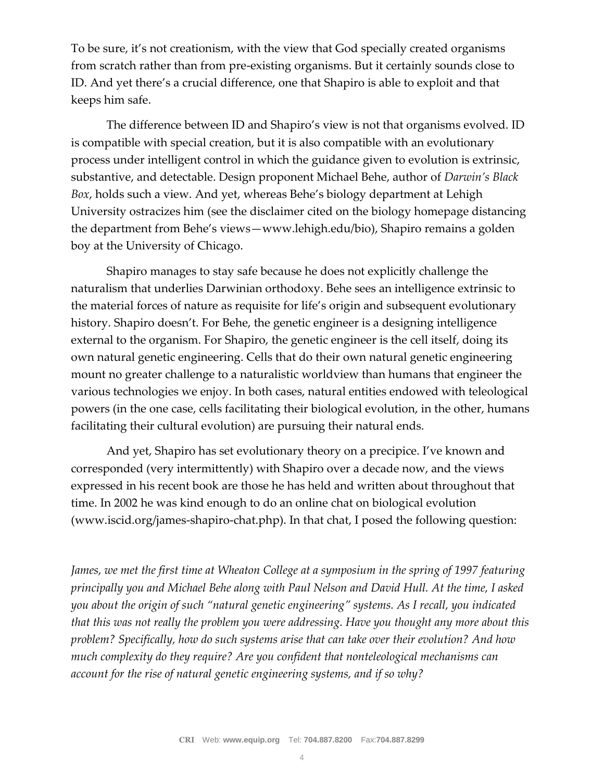To be sure, it's not creationism, with the view that God specially created organisms from scratch rather than from pre-existing organisms. But it certainly sounds close to ID. And yet there's a crucial difference, one that Shapiro is able to exploit and that keeps him safe.

The difference between ID and Shapiro's view is not that organisms evolved. ID is compatible with special creation, but it is also compatible with an evolutionary process under intelligent control in which the guidance given to evolution is extrinsic, substantive, and detectable. Design proponent Michael Behe, author of *Darwin's Black Box*, holds such a view. And yet, whereas Behe's biology department at Lehigh University ostracizes him (see the disclaimer cited on the biology homepage distancing the department from Behe's views—www.lehigh.edu/bio), Shapiro remains a golden boy at the University of Chicago.

Shapiro manages to stay safe because he does not explicitly challenge the naturalism that underlies Darwinian orthodoxy. Behe sees an intelligence extrinsic to the material forces of nature as requisite for life's origin and subsequent evolutionary history. Shapiro doesn't. For Behe, the genetic engineer is a designing intelligence external to the organism. For Shapiro, the genetic engineer is the cell itself, doing its own natural genetic engineering. Cells that do their own natural genetic engineering mount no greater challenge to a naturalistic worldview than humans that engineer the various technologies we enjoy. In both cases, natural entities endowed with teleological powers (in the one case, cells facilitating their biological evolution, in the other, humans facilitating their cultural evolution) are pursuing their natural ends.

And yet, Shapiro has set evolutionary theory on a precipice. I've known and corresponded (very intermittently) with Shapiro over a decade now, and the views expressed in his recent book are those he has held and written about throughout that time. In 2002 he was kind enough to do an online chat on biological evolution (www.iscid.org/james-shapiro-chat.php). In that chat, I posed the following question:

*James, we met the first time at Wheaton College at a symposium in the spring of 1997 featuring principally you and Michael Behe along with Paul Nelson and David Hull. At the time, I asked you about the origin of such "natural genetic engineering" systems. As I recall, you indicated that this was not really the problem you were addressing. Have you thought any more about this problem? Specifically, how do such systems arise that can take over their evolution? And how much complexity do they require? Are you confident that nonteleological mechanisms can account for the rise of natural genetic engineering systems, and if so why?*